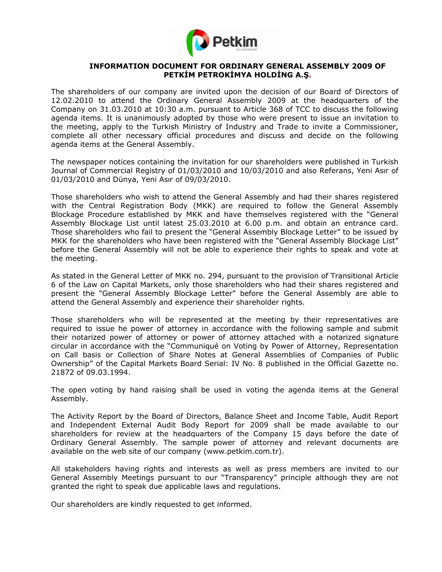

### **INFORMATION DOCUMENT FOR ORDINARY GENERAL ASSEMBLY 2009 OF PETKİM PETROKİMYA HOLDİNG A.Ş.**

The shareholders of our company are invited upon the decision of our Board of Directors of 12.02.2010 to attend the Ordinary General Assembly 2009 at the headquarters of the Company on 31.03.2010 at 10:30 a.m. pursuant to Article 368 of TCC to discuss the following agenda items. It is unanimously adopted by those who were present to issue an invitation to the meeting, apply to the Turkish Ministry of Industry and Trade to invite a Commissioner, complete all other necessary official procedures and discuss and decide on the following agenda items at the General Assembly.

The newspaper notices containing the invitation for our shareholders were published in Turkish Journal of Commercial Registry of 01/03/2010 and 10/03/2010 and also Referans, Yeni Asır of 01/03/2010 and Dünya, Yeni Asır of 09/03/2010.

Those shareholders who wish to attend the General Assembly and had their shares registered with the Central Registration Body (MKK) are required to follow the General Assembly Blockage Procedure established by MKK and have themselves registered with the "General Assembly Blockage List until latest 25.03.2010 at 6.00 p.m. and obtain an entrance card. Those shareholders who fail to present the "General Assembly Blockage Letter" to be issued by MKK for the shareholders who have been registered with the "General Assembly Blockage List" before the General Assembly will not be able to experience their rights to speak and vote at the meeting.

As stated in the General Letter of MKK no. 294, pursuant to the provision of Transitional Article 6 of the Law on Capital Markets, only those shareholders who had their shares registered and present the "General Assembly Blockage Letter" before the General Assembly are able to attend the General Assembly and experience their shareholder rights.

Those shareholders who will be represented at the meeting by their representatives are required to issue he power of attorney in accordance with the following sample and submit their notarized power of attorney or power of attorney attached with a notarized signature circular in accordance with the "Communiqué on Voting by Power of Attorney, Representation on Call basis or Collection of Share Notes at General Assemblies of Companies of Public Ownership" of the Capital Markets Board Serial: IV No. 8 published in the Official Gazette no. 21872 of 09.03.1994.

The open voting by hand raising shall be used in voting the agenda items at the General Assembly.

The Activity Report by the Board of Directors, Balance Sheet and Income Table, Audit Report and Independent External Audit Body Report for 2009 shall be made available to our shareholders for review at the headquarters of the Company 15 days before the date of Ordinary General Assembly. The sample power of attorney and relevant documents are available on the web site of our company (www.petkim.com.tr).

All stakeholders having rights and interests as well as press members are invited to our General Assembly Meetings pursuant to our "Transparency" principle although they are not granted the right to speak due applicable laws and regulations.

Our shareholders are kindly requested to get informed.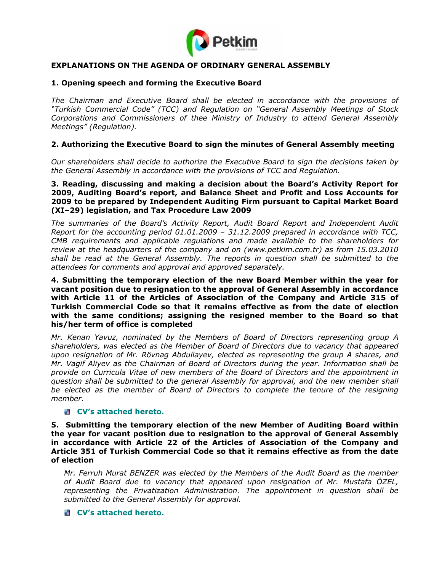

## **EXPLANATIONS ON THE AGENDA OF ORDINARY GENERAL ASSEMBLY**

#### **1. Opening speech and forming the Executive Board**

*The Chairman and Executive Board shall be elected in accordance with the provisions of "Turkish Commercial Code" (TCC) and Regulation on "General Assembly Meetings of Stock Corporations and Commissioners of thee Ministry of Industry to attend General Assembly Meetings" (Regulation).* 

#### **2. Authorizing the Executive Board to sign the minutes of General Assembly meeting**

*Our shareholders shall decide to authorize the Executive Board to sign the decisions taken by the General Assembly in accordance with the provisions of TCC and Regulation.* 

#### **3. Reading, discussing and making a decision about the Board's Activity Report for 2009, Auditing Board's report, and Balance Sheet and Profit and Loss Accounts for 2009 to be prepared by Independent Auditing Firm pursuant to Capital Market Board (XI–29) legislation, and Tax Procedure Law 2009**

*The summaries of the Board's Activity Report, Audit Board Report and Independent Audit Report for the accounting period 01.01.2009 – 31.12.2009 prepared in accordance with TCC, CMB requirements and applicable regulations and made available to the shareholders for review at the headquarters of the company and on (www.petkim.com.tr) as from 15.03.2010 shall be read at the General Assembly. The reports in question shall be submitted to the attendees for comments and approval and approved separately.* 

#### **4. Submitting the temporary election of the new Board Member within the year for vacant position due to resignation to the approval of General Assembly in accordance with Article 11 of the Articles of Association of the Company and Article 315 of Turkish Commercial Code so that it remains effective as from the date of election with the same conditions; assigning the resigned member to the Board so that his/her term of office is completed**

*Mr. Kenan Yavuz, nominated by the Members of Board of Directors representing group A shareholders, was elected as the Member of Board of Directors due to vacancy that appeared upon resignation of Mr. Rövnag Abdullayev, elected as representing the group A shares, and Mr. Vagif Aliyev as the Chairman of Board of Directors during the year. Information shall be provide on Curricula Vitae of new members of the Board of Directors and the appointment in question shall be submitted to the general Assembly for approval, and the new member shall be elected as the member of Board of Directors to complete the tenure of the resigning member.* 

#### **CV's attached hereto.**

**5. Submitting the temporary election of the new Member of Auditing Board within the year for vacant position due to resignation to the approval of General Assembly in accordance with Article 22 of the Articles of Association of the Company and Article 351 of Turkish Commercial Code so that it remains effective as from the date of election** 

*Mr. Ferruh Murat BENZER was elected by the Members of the Audit Board as the member of Audit Board due to vacancy that appeared upon resignation of Mr. Mustafa ÖZEL, representing the Privatization Administration. The appointment in question shall be submitted to the General Assembly for approval.* 

#### **CV's attached hereto.**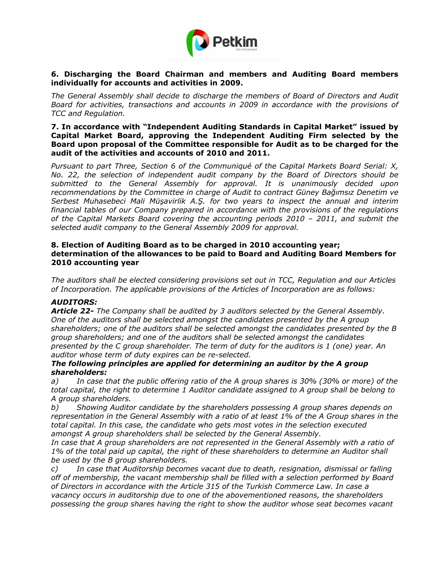

## **6. Discharging the Board Chairman and members and Auditing Board members individually for accounts and activities in 2009.**

*The General Assembly shall decide to discharge the members of Board of Directors and Audit Board for activities, transactions and accounts in 2009 in accordance with the provisions of TCC and Regulation.* 

**7. In accordance with "Independent Auditing Standards in Capital Market" issued by Capital Market Board, approving the Independent Auditing Firm selected by the Board upon proposal of the Committee responsible for Audit as to be charged for the audit of the activities and accounts of 2010 and 2011.** 

*Pursuant to part Three, Section 6 of the Communiqué of the Capital Markets Board Serial: X, No. 22, the selection of independent audit company by the Board of Directors should be submitted to the General Assembly for approval. It is unanimously decided upon recommendations by the Committee in charge of Audit to contract Güney Bağımsız Denetim ve Serbest Muhasebeci Mali Müşavirlik A.Ş. for two years to inspect the annual and interim financial tables of our Company prepared in accordance with the provisions of the regulations of the Capital Markets Board covering the accounting periods 2010 – 2011, and submit the selected audit company to the General Assembly 2009 for approval.* 

### **8. Election of Auditing Board as to be charged in 2010 accounting year; determination of the allowances to be paid to Board and Auditing Board Members for 2010 accounting year**

*The auditors shall be elected considering provisions set out in TCC, Regulation and our Articles of Incorporation. The applicable provisions of the Articles of Incorporation are as follows:* 

# *AUDITORS:*

*Article 22- The Company shall be audited by 3 auditors selected by the General Assembly. One of the auditors shall be selected amongst the candidates presented by the A group shareholders; one of the auditors shall be selected amongst the candidates presented by the B group shareholders; and one of the auditors shall be selected amongst the candidates presented by the C group shareholder. The term of duty for the auditors is 1 (one) year. An auditor whose term of duty expires can be re-selected.* 

### *The following principles are applied for determining an auditor by the A group shareholders:*

*a) In case that the public offering ratio of the A group shares is 30% (30% or more) of the total capital, the right to determine 1 Auditor candidate assigned to A group shall be belong to A group shareholders.* 

*b) Showing Auditor candidate by the shareholders possessing A group shares depends on representation in the General Assembly with a ratio of at least 1% of the A Group shares in the total capital. In this case, the candidate who gets most votes in the selection executed amongst A group shareholders shall be selected by the General Assembly.* 

In case that A group shareholders are not represented in the General Assembly with a ratio of *1% of the total paid up capital, the right of these shareholders to determine an Auditor shall be used by the B group shareholders.* 

*c) In case that Auditorship becomes vacant due to death, resignation, dismissal or falling off of membership, the vacant membership shall be filled with a selection performed by Board of Directors in accordance with the Article 315 of the Turkish Commerce Law. In case a vacancy occurs in auditorship due to one of the abovementioned reasons, the shareholders possessing the group shares having the right to show the auditor whose seat becomes vacant*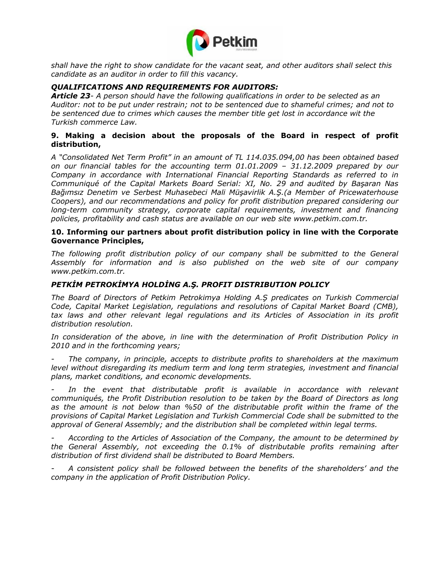

*shall have the right to show candidate for the vacant seat, and other auditors shall select this candidate as an auditor in order to fill this vacancy.* 

## *QUALIFICATIONS AND REQUIREMENTS FOR AUDITORS:*

*Article 23- A person should have the following qualifications in order to be selected as an Auditor: not to be put under restrain; not to be sentenced due to shameful crimes; and not to be sentenced due to crimes which causes the member title get lost in accordance wit the Turkish commerce Law.* 

## **9. Making a decision about the proposals of the Board in respect of profit distribution,**

*A "Consolidated Net Term Profit" in an amount of TL 114.035.094,00 has been obtained based on our financial tables for the accounting term 01.01.2009 – 31.12.2009 prepared by our Company in accordance with International Financial Reporting Standards as referred to in Communiqué of the Capital Markets Board Serial: XI, No. 29 and audited by Başaran Nas Bağımsız Denetim ve Serbest Muhasebeci Mali Müşavirlik A.Ş.(a Member of Pricewaterhouse Coopers), and our recommendations and policy for profit distribution prepared considering our long-term community strategy, corporate capital requirements, investment and financing policies, profitability and cash status are available on our web site www.petkim.com.tr.* 

#### **10. Informing our partners about profit distribution policy in line with the Corporate Governance Principles,**

*The following profit distribution policy of our company shall be submitted to the General Assembly for information and is also published on the web site of our company www.petkim.com.tr.* 

## *PETKİM PETROKİMYA HOLDİNG A.Ş. PROFIT DISTRIBUTION POLICY*

*The Board of Directors of Petkim Petrokimya Holding A.Ş predicates on Turkish Commercial Code, Capital Market Legislation, regulations and resolutions of Capital Market Board (CMB),*  tax laws and other relevant legal regulations and its Articles of Association in its profit *distribution resolution.* 

*In consideration of the above, in line with the determination of Profit Distribution Policy in 2010 and in the forthcoming years;* 

*- The company, in principle, accepts to distribute profits to shareholders at the maximum level without disregarding its medium term and long term strategies, investment and financial plans, market conditions, and economic developments.* 

In the event that distributable profit is available in accordance with relevant *communiqués, the Profit Distribution resolution to be taken by the Board of Directors as long as the amount is not below than %50 of the distributable profit within the frame of the provisions of Capital Market Legislation and Turkish Commercial Code shall be submitted to the approval of General Assembly; and the distribution shall be completed within legal terms.* 

*- According to the Articles of Association of the Company, the amount to be determined by the General Assembly, not exceeding the 0.1% of distributable profits remaining after distribution of first dividend shall be distributed to Board Members.* 

*- A consistent policy shall be followed between the benefits of the shareholders' and the company in the application of Profit Distribution Policy.*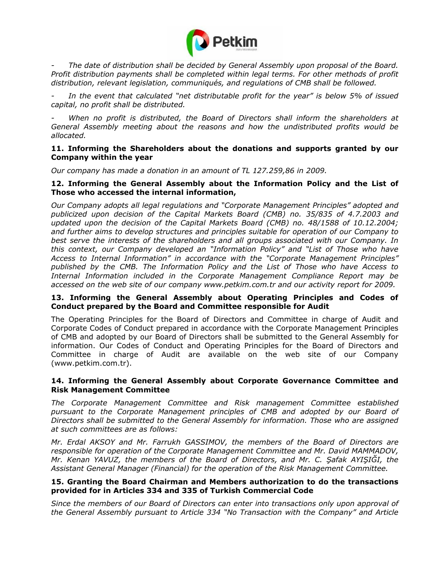

*- The date of distribution shall be decided by General Assembly upon proposal of the Board. Profit distribution payments shall be completed within legal terms. For other methods of profit distribution, relevant legislation, communiqués, and regulations of CMB shall be followed.* 

*- In the event that calculated "net distributable profit for the year" is below 5% of issued capital, no profit shall be distributed.* 

When no profit is distributed, the Board of Directors shall inform the shareholders at *General Assembly meeting about the reasons and how the undistributed profits would be allocated.* 

### **11. Informing the Shareholders about the donations and supports granted by our Company within the year**

*Our company has made a donation in an amount of TL 127.259,86 in 2009.*

#### **12. Informing the General Assembly about the Information Policy and the List of Those who accessed the internal information,**

*Our Company adopts all legal regulations and "Corporate Management Principles" adopted and publicized upon decision of the Capital Markets Board (CMB) no. 35/835 of 4.7.2003 and updated upon the decision of the Capital Markets Board (CMB) no. 48/1588 of 10.12.2004; and further aims to develop structures and principles suitable for operation of our Company to best serve the interests of the shareholders and all groups associated with our Company. In this context, our Company developed an "Information Policy" and "List of Those who have Access to Internal Information" in accordance with the "Corporate Management Principles" published by the CMB. The Information Policy and the List of Those who have Access to Internal Information included in the Corporate Management Compliance Report may be accessed on the web site of our company www.petkim.com.tr and our activity report for 2009.* 

### **13. Informing the General Assembly about Operating Principles and Codes of Conduct prepared by the Board and Committee responsible for Audit**

The Operating Principles for the Board of Directors and Committee in charge of Audit and Corporate Codes of Conduct prepared in accordance with the Corporate Management Principles of CMB and adopted by our Board of Directors shall be submitted to the General Assembly for information. Our Codes of Conduct and Operating Principles for the Board of Directors and Committee in charge of Audit are available on the web site of our Company (www.petkim.com.tr).

### **14. Informing the General Assembly about Corporate Governance Committee and Risk Management Committee**

*The Corporate Management Committee and Risk management Committee established*  pursuant to the Corporate Management principles of CMB and adopted by our Board of *Directors shall be submitted to the General Assembly for information. Those who are assigned at such committees are as follows:* 

*Mr. Erdal AKSOY and Mr. Farrukh GASSIMOV, the members of the Board of Directors are responsible for operation of the Corporate Management Committee and Mr. David MAMMADOV, Mr. Kenan YAVUZ, the members of the Board of Directors, and Mr. C. Şafak AYIŞIĞI, the Assistant General Manager (Financial) for the operation of the Risk Management Committee.* 

### **15. Granting the Board Chairman and Members authorization to do the transactions provided for in Articles 334 and 335 of Turkish Commercial Code**

*Since the members of our Board of Directors can enter into transactions only upon approval of the General Assembly pursuant to Article 334 "No Transaction with the Company" and Article*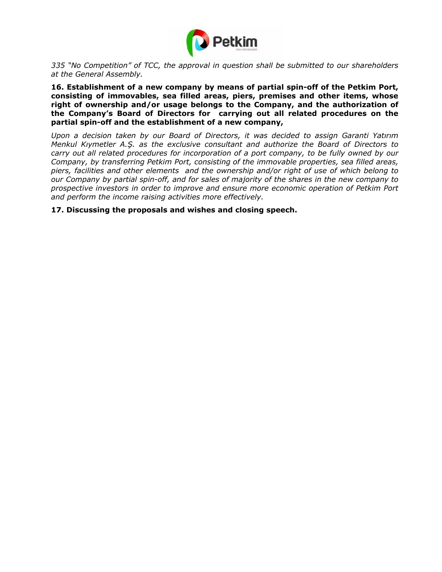

*335 "No Competition" of TCC, the approval in question shall be submitted to our shareholders at the General Assembly.* 

**16. Establishment of a new company by means of partial spin-off of the Petkim Port, consisting of immovables, sea filled areas, piers, premises and other items, whose right of ownership and/or usage belongs to the Company, and the authorization of the Company's Board of Directors for carrying out all related procedures on the partial spin-off and the establishment of a new company,** 

*Upon a decision taken by our Board of Directors, it was decided to assign Garanti Yatırım Menkul Kıymetler A.Ş. as the exclusive consultant and authorize the Board of Directors to carry out all related procedures for incorporation of a port company, to be fully owned by our Company, by transferring Petkim Port, consisting of the immovable properties, sea filled areas, piers, facilities and other elements and the ownership and/or right of use of which belong to our Company by partial spin-off, and for sales of majority of the shares in the new company to prospective investors in order to improve and ensure more economic operation of Petkim Port and perform the income raising activities more effectively.* 

**17. Discussing the proposals and wishes and closing speech.**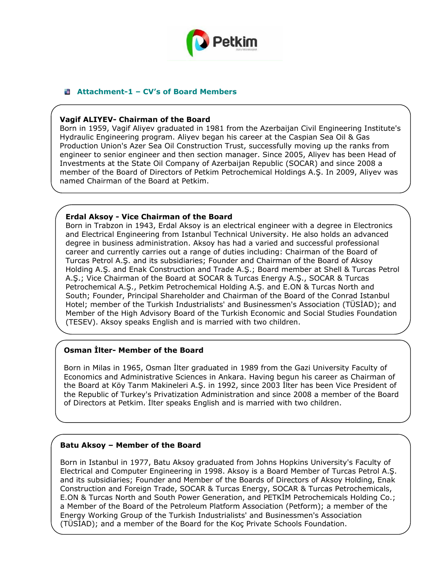

## **Attachment-1 – CV's of Board Members**

### **Vagif ALIYEV- Chairman of the Board**

Born in 1959, Vagif Aliyev graduated in 1981 from the Azerbaijan Civil Engineering Institute's Hydraulic Engineering program. Aliyev began his career at the Caspian Sea Oil & Gas Production Union's Azer Sea Oil Construction Trust, successfully moving up the ranks from engineer to senior engineer and then section manager. Since 2005, Aliyev has been Head of Investments at the State Oil Company of Azerbaijan Republic (SOCAR) and since 2008 a member of the Board of Directors of Petkim Petrochemical Holdings A.Ş. In 2009, Aliyev was named Chairman of the Board at Petkim.

### **Erdal Aksoy - Vice Chairman of the Board**

Born in Trabzon in 1943, Erdal Aksoy is an electrical engineer with a degree in Electronics and Electrical Engineering from Istanbul Technical University. He also holds an advanced degree in business administration. Aksoy has had a varied and successful professional career and currently carries out a range of duties including: Chairman of the Board of Turcas Petrol A.Ş. and its subsidiaries; Founder and Chairman of the Board of Aksoy Holding A.Ş. and Enak Construction and Trade A.Ş.; Board member at Shell & Turcas Petrol A.Ş.; Vice Chairman of the Board at SOCAR & Turcas Energy A.Ş., SOCAR & Turcas Petrochemical A.Ş., Petkim Petrochemical Holding A.Ş. and E.ON & Turcas North and South; Founder, Principal Shareholder and Chairman of the Board of the Conrad Istanbul Hotel; member of the Turkish Industrialists' and Businessmen's Association (TÜSİAD); and Member of the High Advisory Board of the Turkish Economic and Social Studies Foundation (TESEV). Aksoy speaks English and is married with two children.

### **Osman İlter- Member of the Board**

Born in Milas in 1965, Osman İlter graduated in 1989 from the Gazi University Faculty of Economics and Administrative Sciences in Ankara. Having begun his career as Chairman of the Board at Köy Tarım Makineleri A.Ş. in 1992, since 2003 İlter has been Vice President of the Republic of Turkey's Privatization Administration and since 2008 a member of the Board of Directors at Petkim. İlter speaks English and is married with two children.

### **Batu Aksoy – Member of the Board**

Born in Istanbul in 1977, Batu Aksoy graduated from Johns Hopkins University's Faculty of Electrical and Computer Engineering in 1998. Aksoy is a Board Member of Turcas Petrol A.Ş. and its subsidiaries; Founder and Member of the Boards of Directors of Aksoy Holding, Enak Construction and Foreign Trade, SOCAR & Turcas Energy, SOCAR & Turcas Petrochemicals, E.ON & Turcas North and South Power Generation, and PETKİM Petrochemicals Holding Co.; a Member of the Board of the Petroleum Platform Association (Petform); a member of the Energy Working Group of the Turkish Industrialists' and Businessmen's Association (TÜSİAD); and a member of the Board for the Koç Private Schools Foundation.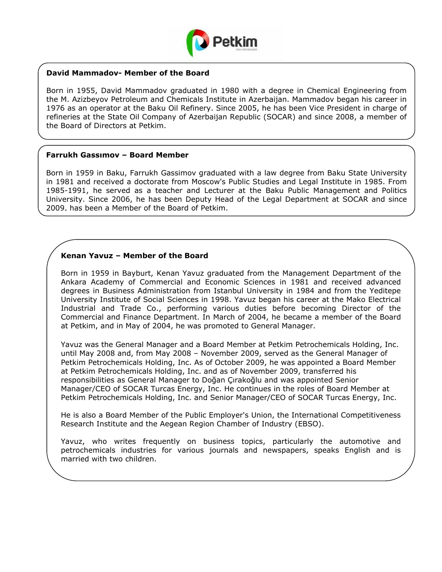

## **David Mammadov- Member of the Board**

Born in 1955, David Mammadov graduated in 1980 with a degree in Chemical Engineering from the M. Azizbeyov Petroleum and Chemicals Institute in Azerbaijan. Mammadov began his career in 1976 as an operator at the Baku Oil Refinery. Since 2005, he has been Vice President in charge of refineries at the State Oil Company of Azerbaijan Republic (SOCAR) and since 2008, a member of the Board of Directors at Petkim.

#### **Farrukh Gassımov – Board Member**

Born in 1959 in Baku, Farrukh Gassimov graduated with a law degree from Baku State University in 1981 and received a doctorate from Moscow's Public Studies and Legal Institute in 1985. From 1985-1991, he served as a teacher and Lecturer at the Baku Public Management and Politics University. Since 2006, he has been Deputy Head of the Legal Department at SOCAR and since 2009, has been a Member of the Board of Petkim.

### **Kenan Yavuz – Member of the Board**

Born in 1959 in Bayburt, Kenan Yavuz graduated from the Management Department of the Ankara Academy of Commercial and Economic Sciences in 1981 and received advanced degrees in Business Administration from Istanbul University in 1984 and from the Yeditepe University Institute of Social Sciences in 1998. Yavuz began his career at the Mako Electrical Industrial and Trade Co., performing various duties before becoming Director of the Commercial and Finance Department. In March of 2004, he became a member of the Board at Petkim, and in May of 2004, he was promoted to General Manager.

Yavuz was the General Manager and a Board Member at Petkim Petrochemicals Holding, Inc. until May 2008 and, from May 2008 – November 2009, served as the General Manager of Petkim Petrochemicals Holding, Inc. As of October 2009, he was appointed a Board Member at Petkim Petrochemicals Holding, Inc. and as of November 2009, transferred his responsibilities as General Manager to Doğan Çırakoğlu and was appointed Senior Manager/CEO of SOCAR Turcas Energy, Inc. He continues in the roles of Board Member at Petkim Petrochemicals Holding, Inc. and Senior Manager/CEO of SOCAR Turcas Energy, Inc.

He is also a Board Member of the Public Employer's Union, the International Competitiveness Research Institute and the Aegean Region Chamber of Industry (EBSO).

Yavuz, who writes frequently on business topics, particularly the automotive and petrochemicals industries for various journals and newspapers, speaks English and is married with two children.